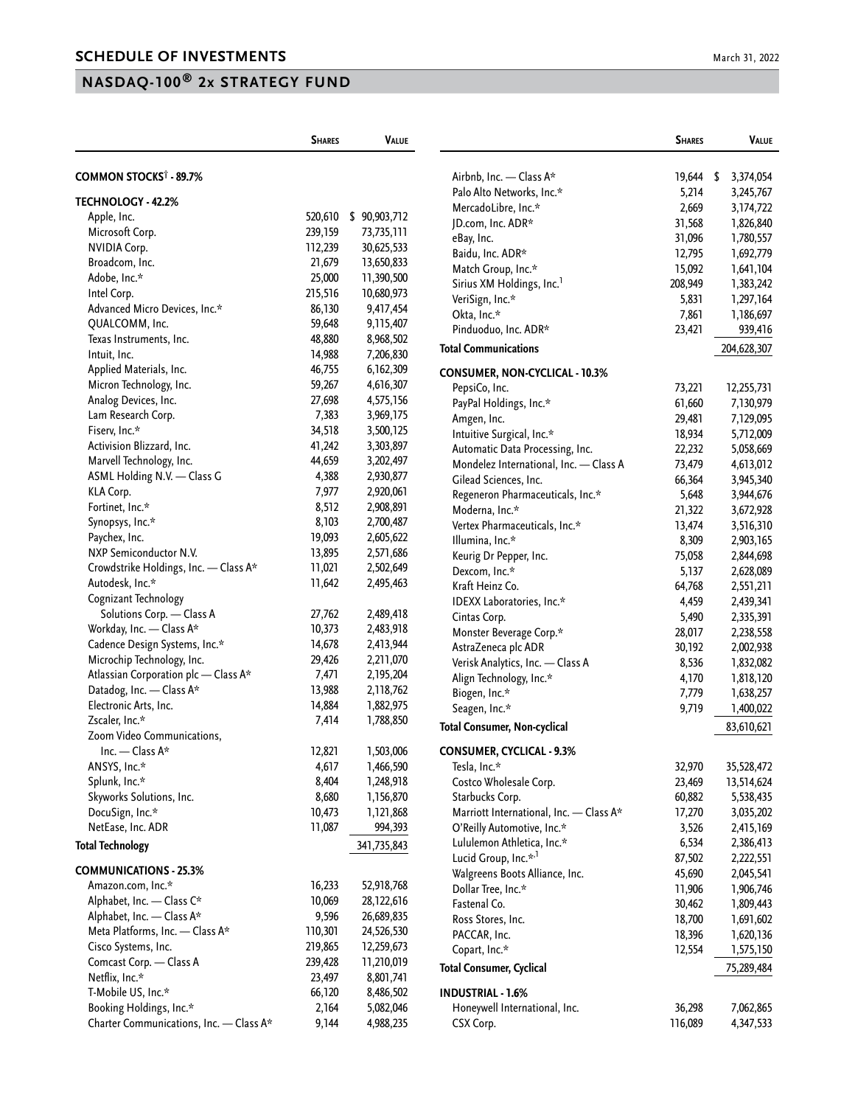## **NASDAQ-100® 2x STRATEGY FUND**

|                                         | <b>SHARES</b> | <b>VALUE</b> |                                         | <b>SHARES</b> | <b>VALUE</b> |
|-----------------------------------------|---------------|--------------|-----------------------------------------|---------------|--------------|
| COMMON STOCKS <sup>†</sup> - 89.7%      |               |              | Airbnb, Inc. - Class A*                 | 19,644 \$     | 3,374,054    |
|                                         |               |              | Palo Alto Networks, Inc.*               | 5,214         | 3,245,767    |
| TECHNOLOGY - 42.2%                      |               |              | MercadoLibre, Inc.*                     | 2,669         | 3,174,722    |
| Apple, Inc.                             | 520,610       | \$90,903,712 | JD.com, Inc. ADR*                       | 31,568        | 1,826,840    |
| Microsoft Corp.                         | 239,159       | 73,735,111   | eBay, Inc.                              | 31,096        | 1,780,557    |
| <b>NVIDIA Corp.</b>                     | 112,239       | 30,625,533   | Baidu, Inc. ADR*                        | 12,795        | 1,692,779    |
| Broadcom, Inc.                          | 21,679        | 13,650,833   | Match Group, Inc.*                      | 15,092        | 1,641,104    |
| Adobe, Inc.*                            | 25,000        | 11,390,500   | Sirius XM Holdings, Inc. <sup>1</sup>   | 208,949       | 1,383,242    |
| Intel Corp.                             | 215,516       | 10,680,973   | VeriSign, Inc.*                         | 5,831         | 1,297,164    |
| Advanced Micro Devices, Inc.*           | 86,130        | 9,417,454    | Okta, Inc.*                             | 7,861         | 1,186,697    |
| QUALCOMM, Inc.                          | 59,648        | 9,115,407    | Pinduoduo, Inc. ADR*                    | 23,421        | 939,416      |
| Texas Instruments, Inc.                 | 48,880        | 8,968,502    | <b>Total Communications</b>             |               | 204,628,307  |
| Intuit, Inc.                            | 14,988        | 7,206,830    |                                         |               |              |
| Applied Materials, Inc.                 | 46,755        | 6,162,309    | <b>CONSUMER, NON-CYCLICAL - 10.3%</b>   |               |              |
| Micron Technology, Inc.                 | 59,267        | 4,616,307    | PepsiCo, Inc.                           | 73,221        | 12,255,731   |
| Analog Devices, Inc.                    | 27,698        | 4,575,156    | PayPal Holdings, Inc.*                  | 61,660        | 7,130,979    |
| Lam Research Corp.                      | 7,383         | 3,969,175    | Amgen, Inc.                             | 29,481        | 7,129,095    |
| Fiserv, Inc.*                           | 34,518        | 3,500,125    | Intuitive Surgical, Inc.*               | 18,934        | 5,712,009    |
| Activision Blizzard, Inc.               | 41,242        | 3,303,897    | Automatic Data Processing, Inc.         | 22,232        | 5,058,669    |
| Marvell Technology, Inc.                | 44,659        | 3,202,497    | Mondelez International, Inc. - Class A  | 73,479        | 4,613,012    |
| ASML Holding N.V. - Class G             | 4,388         | 2,930,877    | Gilead Sciences, Inc.                   | 66,364        | 3,945,340    |
| KLA Corp.                               | 7,977         | 2,920,061    | Regeneron Pharmaceuticals, Inc.*        | 5,648         | 3,944,676    |
| Fortinet, Inc.*                         | 8,512         | 2,908,891    | Moderna, Inc.*                          | 21,322        | 3,672,928    |
| Synopsys, Inc.*                         | 8,103         | 2,700,487    | Vertex Pharmaceuticals, Inc.*           | 13,474        | 3,516,310    |
| Paychex, Inc.                           | 19,093        | 2,605,622    | Illumina, Inc.*                         | 8,309         | 2,903,165    |
| NXP Semiconductor N.V.                  | 13,895        | 2,571,686    | Keurig Dr Pepper, Inc.                  | 75,058        | 2,844,698    |
| Crowdstrike Holdings, Inc. - Class A*   | 11,021        | 2,502,649    | Dexcom, Inc.*                           | 5,137         | 2,628,089    |
| Autodesk, Inc.*                         | 11,642        | 2,495,463    | Kraft Heinz Co.                         | 64,768        | 2,551,211    |
| Cognizant Technology                    |               |              | IDEXX Laboratories, Inc.*               | 4,459         | 2,439,341    |
| Solutions Corp. - Class A               | 27,762        | 2,489,418    | Cintas Corp.                            | 5,490         | 2,335,391    |
| Workday, Inc. - Class A*                | 10,373        | 2,483,918    | Monster Beverage Corp.*                 | 28,017        | 2,238,558    |
| Cadence Design Systems, Inc.*           | 14,678        | 2,413,944    | AstraZeneca plc ADR                     | 30,192        | 2,002,938    |
| Microchip Technology, Inc.              | 29,426        | 2,211,070    | Verisk Analytics, Inc. - Class A        | 8,536         | 1,832,082    |
| Atlassian Corporation plc - Class A*    | 7,471         | 2,195,204    | Align Technology, Inc.*                 | 4,170         | 1,818,120    |
| Datadog, Inc. - Class A*                | 13,988        | 2,118,762    | Biogen, Inc.*                           | 7,779         | 1,638,257    |
| Electronic Arts, Inc.                   | 14,884        | 1,882,975    | Seagen, Inc.*                           | 9,719         | 1,400,022    |
| Zscaler, Inc.*                          | 7,414         | 1,788,850    | <b>Total Consumer, Non-cyclical</b>     |               | 83,610,621   |
| Zoom Video Communications,              |               |              |                                         |               |              |
| Inc. — Class $A^*$                      | 12,821        | 1,503,006    | <b>CONSUMER, CYCLICAL - 9.3%</b>        |               |              |
| ANSYS, Inc.*                            | 4,617         | 1,466,590    | Tesla, Inc.*                            | 32,970        | 35,528,472   |
| Splunk, Inc.*                           | 8,404         | 1,248,918    | Costco Wholesale Corp.                  | 23,469        | 13,514,624   |
| Skyworks Solutions, Inc.                | 8,680         | 1,156,870    | Starbucks Corp.                         | 60,882        | 5,538,435    |
| DocuSign, Inc.*                         | 10,473        | 1,121,868    | Marriott International, Inc. - Class A* | 17,270        | 3,035,202    |
| NetEase, Inc. ADR                       | 11,087        | 994,393      | O'Reilly Automotive, Inc.*              | 3,526         | 2,415,169    |
| <b>Total Technology</b>                 |               | 341,735,843  | Lululemon Athletica, Inc.*              | 6,534         | 2,386,413    |
|                                         |               |              | Lucid Group, Inc.* <sup>,1</sup>        | 87,502        | 2,222,551    |
| <b>COMMUNICATIONS - 25.3%</b>           |               |              | Walgreens Boots Alliance, Inc.          | 45,690        | 2,045,541    |
| Amazon.com, Inc.*                       | 16,233        | 52,918,768   | Dollar Tree, Inc.*                      | 11,906        | 1,906,746    |
| Alphabet, Inc. - Class C*               | 10,069        | 28,122,616   | Fastenal Co.                            | 30,462        | 1,809,443    |
| Alphabet, Inc. - Class A*               | 9,596         | 26,689,835   | Ross Stores, Inc.                       | 18,700        | 1,691,602    |
| Meta Platforms, Inc. - Class A*         | 110,301       | 24,526,530   | PACCAR, Inc.                            | 18,396        | 1,620,136    |
| Cisco Systems, Inc.                     | 219,865       | 12,259,673   | Copart, Inc.*                           | 12,554        | 1,575,150    |
| Comcast Corp. - Class A                 | 239,428       | 11,210,019   | <b>Total Consumer, Cyclical</b>         |               | 75,289,484   |
| Netflix, Inc.*                          | 23,497        | 8,801,741    |                                         |               |              |
| T-Mobile US, Inc.*                      | 66,120        | 8,486,502    | <b>INDUSTRIAL - 1.6%</b>                |               |              |
| Booking Holdings, Inc.*                 | 2,164         | 5,082,046    | Honeywell International, Inc.           | 36,298        | 7,062,865    |
| Charter Communications, Inc. - Class A* | 9,144         | 4,988,235    | CSX Corp.                               | 116,089       | 4,347,533    |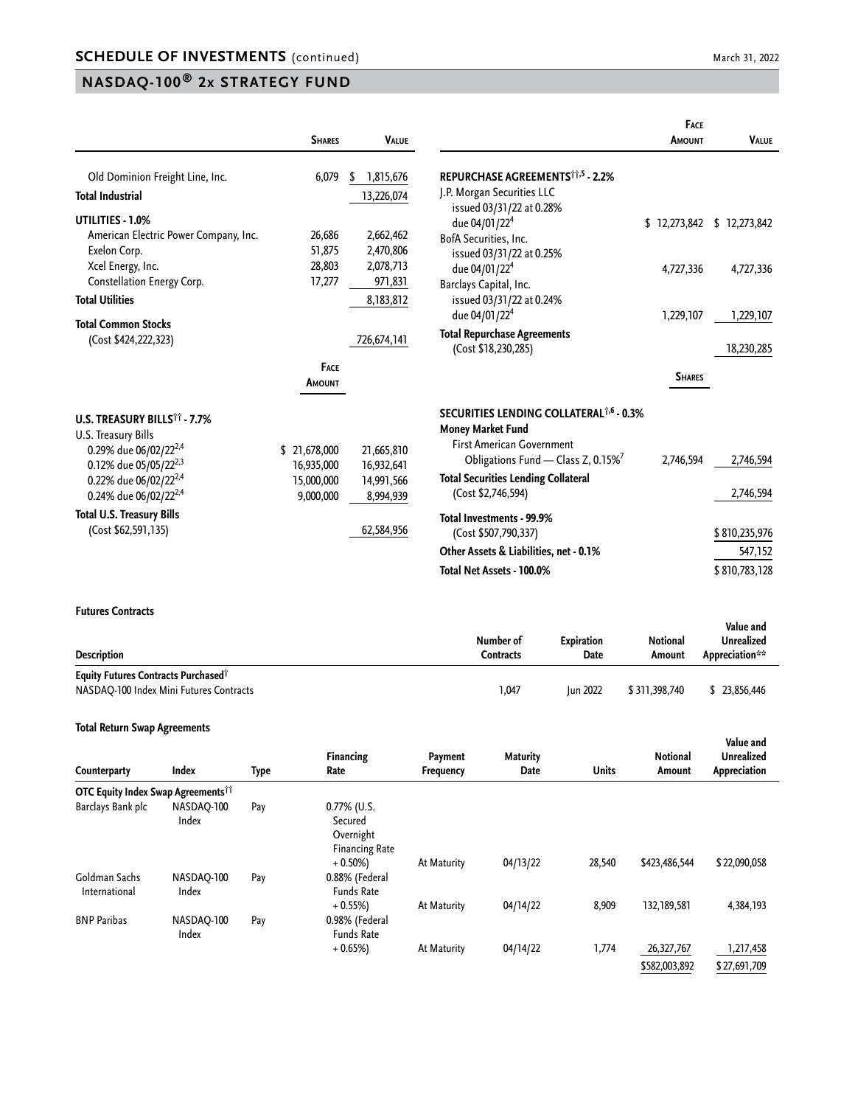# **NASDAQ-100® 2x STRATEGY FUND**

|                                                                                                                                                                                                                     | <b>SHARES</b>                                         | <b>VALUE</b>                                        |                                                                                                                                                                                                                       | FACE<br><b>AMOUNT</b> | <b>VALUE</b>             |
|---------------------------------------------------------------------------------------------------------------------------------------------------------------------------------------------------------------------|-------------------------------------------------------|-----------------------------------------------------|-----------------------------------------------------------------------------------------------------------------------------------------------------------------------------------------------------------------------|-----------------------|--------------------------|
| Old Dominion Freight Line, Inc.<br><b>Total Industrial</b>                                                                                                                                                          | 6,079                                                 | 1,815,676<br>\$<br>13,226,074                       | REPURCHASE AGREEMENTS <sup>11,5</sup> - 2.2%<br>J.P. Morgan Securities LLC                                                                                                                                            |                       |                          |
| UTILITIES - 1.0%<br>American Electric Power Company, Inc.<br>Exelon Corp.                                                                                                                                           | 26,686<br>51,875                                      | 2,662,462<br>2,470,806                              | issued 03/31/22 at 0.28%<br>due 04/01/22 <sup>4</sup><br>BofA Securities, Inc.<br>issued 03/31/22 at 0.25%                                                                                                            | \$12,273,842          | \$12,273,842             |
| Xcel Energy, Inc.<br>Constellation Energy Corp.<br><b>Total Utilities</b>                                                                                                                                           | 28,803<br>17,277                                      | 2,078,713<br>971,831<br>8,183,812                   | due 04/01/22 <sup>4</sup><br>Barclays Capital, Inc.<br>issued 03/31/22 at 0.24%                                                                                                                                       | 4,727,336             | 4,727,336                |
| <b>Total Common Stocks</b><br>(Cost \$424,222,323)                                                                                                                                                                  |                                                       | 726,674,141                                         | due 04/01/22 <sup>4</sup><br><b>Total Repurchase Agreements</b><br>(Cost \$18,230,285)                                                                                                                                | 1,229,107             | 1,229,107<br>18,230,285  |
|                                                                                                                                                                                                                     | <b>FACE</b><br>AMOUNT                                 |                                                     |                                                                                                                                                                                                                       | <b>SHARES</b>         |                          |
| U.S. TREASURY BILLS <sup>11</sup> - 7.7%<br>U.S. Treasury Bills<br>0.29% due 06/02/22 <sup>2,4</sup><br>0.12% due 05/05/22 <sup>2,3</sup><br>0.22% due 06/02/22 <sup>2,4</sup><br>0.24% due 06/02/22 <sup>2,4</sup> | \$21,678,000<br>16,935,000<br>15,000,000<br>9,000,000 | 21,665,810<br>16,932,641<br>14,991,566<br>8,994,939 | SECURITIES LENDING COLLATERAL <sup>1,6</sup> - 0.3%<br>Money Market Fund<br><b>First American Government</b><br>Obligations Fund - Class Z, 0.15%<br><b>Total Securities Lending Collateral</b><br>(Cost \$2,746,594) | 2,746,594             | 2,746,594<br>2,746,594   |
| <b>Total U.S. Treasury Bills</b><br>(Cost \$62,591,135)                                                                                                                                                             |                                                       | 62,584,956                                          | Total Investments - 99.9%<br>(Cost \$507,790,337)                                                                                                                                                                     |                       | \$810,235,976            |
|                                                                                                                                                                                                                     |                                                       |                                                     | Other Assets & Liabilities, net - 0.1%<br>Total Net Assets - 100.0%                                                                                                                                                   |                       | 547,152<br>\$810,783,128 |

#### **Futures Contracts**

| <b>Description</b>                                                                                | Number of<br>Contracts | <b>Expiration</b><br>Date | Notional<br>Amount | Value and<br>Unrealized<br>Appreciation** |
|---------------------------------------------------------------------------------------------------|------------------------|---------------------------|--------------------|-------------------------------------------|
| <b>Equity Futures Contracts Purchased</b> <sup>†</sup><br>NASDAQ-100 Index Mini Futures Contracts | 1,047                  | <b>Iun 2022</b>           | \$311,398,740      | 23.856.446                                |

#### **Total Return Swap Agreements**

| Counterparty                                         | Index               | Type | <b>Financing</b><br>Rate                                        | Payment<br><b>Frequency</b> | <b>Maturity</b><br>Date | <b>Units</b> | <b>Notional</b><br>Amount   | Value and<br><b>Unrealized</b><br>Appreciation |
|------------------------------------------------------|---------------------|------|-----------------------------------------------------------------|-----------------------------|-------------------------|--------------|-----------------------------|------------------------------------------------|
| <b>OTC Equity Index Swap Agreements<sup>11</sup></b> |                     |      |                                                                 |                             |                         |              |                             |                                                |
| Barclays Bank plc                                    | NASDAO-100<br>Index | Pay  | $0.77\%$ (U.S.<br>Secured<br>Overnight<br><b>Financing Rate</b> |                             |                         |              |                             |                                                |
| Goldman Sachs<br>International                       | NASDAO-100<br>Index | Pay  | $+0.50\%$<br>0.88% (Federal<br><b>Funds Rate</b>                | At Maturity                 | 04/13/22                | 28,540       | \$423,486,544               | \$22,090,058                                   |
| <b>BNP Paribas</b>                                   | NASDAO-100<br>Index | Pay  | $+0.55%$<br>0.98% (Federal<br><b>Funds Rate</b>                 | At Maturity                 | 04/14/22                | 8,909        | 132,189,581                 | 4,384,193                                      |
|                                                      |                     |      | $+0.65%$                                                        | At Maturity                 | 04/14/22                | 1,774        | 26,327,767<br>\$582,003,892 | 1,217,458<br>\$27,691,709                      |